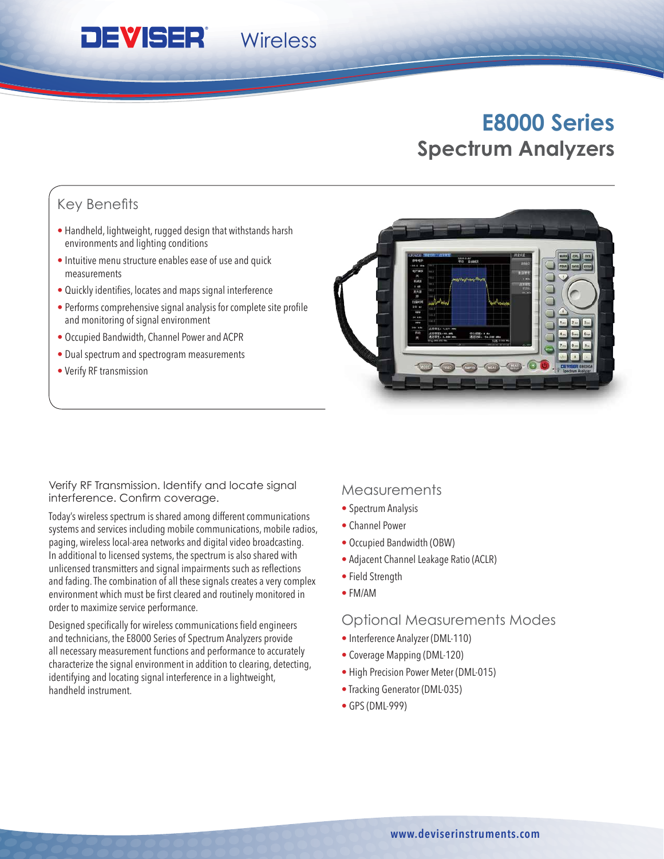# **E8000 Series Spectrum Analyzers**

## Key Benefits

• Handheld, lightweight, rugged design that withstands harsh environments and lighting conditions

**Wireless** 

- Intuitive menu structure enables ease of use and quick measurements
- Quickly identifies, locates and maps signal interference
- Performs comprehensive signal analysis for complete site profile and monitoring of signal environment
- Occupied Bandwidth, Channel Power and ACPR

**DEVISER** 

- Dual spectrum and spectrogram measurements
- Verify RF transmission

Verify RF Transmission. Identify and locate signal interference. Confirm coverage.

Today's wireless spectrum is shared among different communications systems and services including mobile communications, mobile radios, paging, wireless local-area networks and digital video broadcasting. In additional to licensed systems, the spectrum is also shared with unlicensed transmitters and signal impairments such as reflections and fading. The combination of all these signals creates a very complex environment which must be first cleared and routinely monitored in order to maximize service performance.

Designed specifically for wireless communications field engineers and technicians, the E8000 Series of Spectrum Analyzers provide all necessary measurement functions and performance to accurately characterize the signal environment in addition to clearing, detecting, identifying and locating signal interference in a lightweight, handheld instrument.

### **Measurements**

- Spectrum Analysis
- Channel Power
- Occupied Bandwidth (OBW)
- Adjacent Channel Leakage Ratio (ACLR)
- Field Strength
- FM/AM

#### Optional Measurements Modes

- Interference Analyzer (DML-110)
- Coverage Mapping (DML-120)
- High Precision Power Meter (DML-015)
- Tracking Generator (DML-035)
- GPS (DML-999)